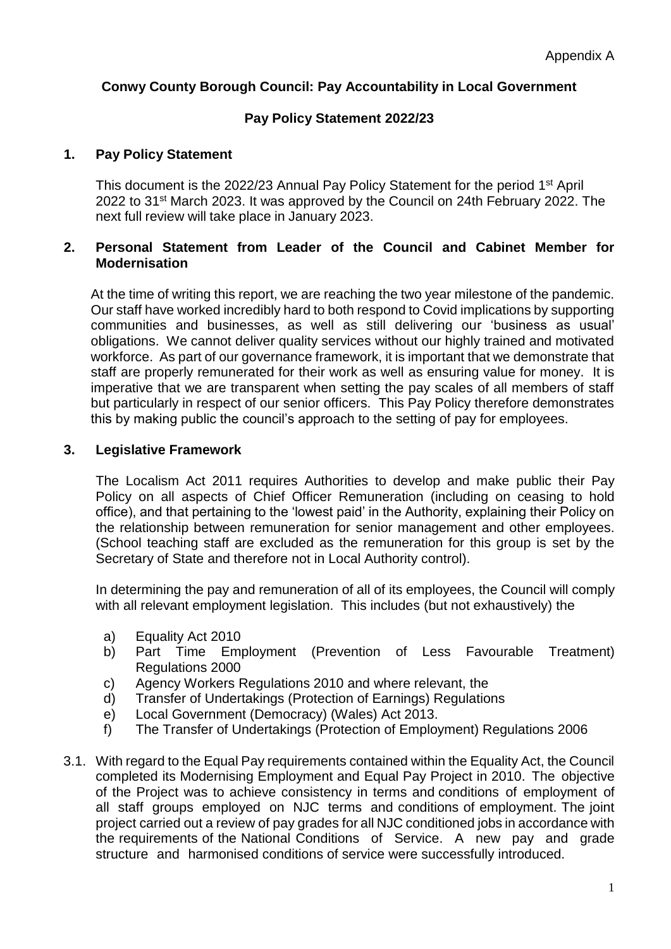# **Conwy County Borough Council: Pay Accountability in Local Government**

# **Pay Policy Statement 2022/23**

## **1. Pay Policy Statement**

This document is the 2022/23 Annual Pay Policy Statement for the period 1st April 2022 to 31st March 2023. It was approved by the Council on 24th February 2022. The next full review will take place in January 2023.

## **2. Personal Statement from Leader of the Council and Cabinet Member for Modernisation**

At the time of writing this report, we are reaching the two year milestone of the pandemic. Our staff have worked incredibly hard to both respond to Covid implications by supporting communities and businesses, as well as still delivering our 'business as usual' obligations. We cannot deliver quality services without our highly trained and motivated workforce. As part of our governance framework, it is important that we demonstrate that staff are properly remunerated for their work as well as ensuring value for money. It is imperative that we are transparent when setting the pay scales of all members of staff but particularly in respect of our senior officers. This Pay Policy therefore demonstrates this by making public the council's approach to the setting of pay for employees.

## **3. Legislative Framework**

The Localism Act 2011 requires Authorities to develop and make public their Pay Policy on all aspects of Chief Officer Remuneration (including on ceasing to hold office), and that pertaining to the 'lowest paid' in the Authority, explaining their Policy on the relationship between remuneration for senior management and other employees. (School teaching staff are excluded as the remuneration for this group is set by the Secretary of State and therefore not in Local Authority control).

In determining the pay and remuneration of all of its employees, the Council will comply with all relevant employment legislation. This includes (but not exhaustively) the

- a) Equality Act 2010
- b) Part Time Employment (Prevention of Less Favourable Treatment) Regulations 2000
- c) Agency Workers Regulations 2010 and where relevant, the
- d) Transfer of Undertakings (Protection of Earnings) Regulations
- e) Local Government (Democracy) (Wales) Act 2013.
- f) The Transfer of Undertakings (Protection of Employment) Regulations 2006
- 3.1. With regard to the Equal Pay requirements contained within the Equality Act, the Council completed its Modernising Employment and Equal Pay Project in 2010. The objective of the Project was to achieve consistency in terms and conditions of employment of all staff groups employed on NJC terms and conditions of employment. The joint project carried out a review of pay grades for all NJC conditioned jobs in accordance with the requirements of the National Conditions of Service. A new pay and grade structure and harmonised conditions of service were successfully introduced.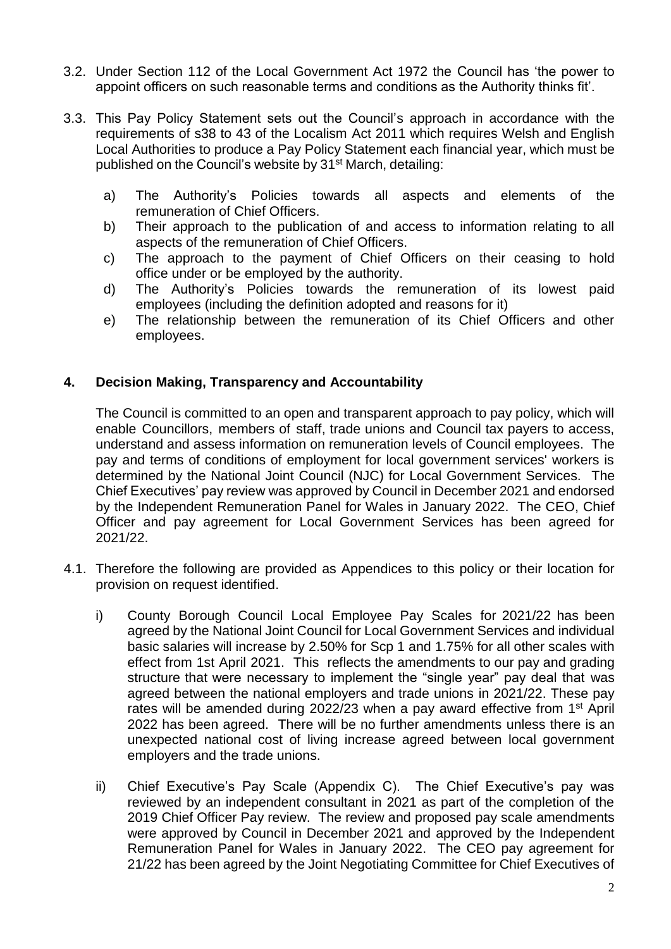- 3.2. Under Section 112 of the Local Government Act 1972 the Council has 'the power to appoint officers on such reasonable terms and conditions as the Authority thinks fit'.
- 3.3. This Pay Policy Statement sets out the Council's approach in accordance with the requirements of s38 to 43 of the Localism Act 2011 which requires Welsh and English Local Authorities to produce a Pay Policy Statement each financial year, which must be published on the Council's website by 31<sup>st</sup> March, detailing:
	- a) The Authority's Policies towards all aspects and elements of the remuneration of Chief Officers.
	- b) Their approach to the publication of and access to information relating to all aspects of the remuneration of Chief Officers.
	- c) The approach to the payment of Chief Officers on their ceasing to hold office under or be employed by the authority.
	- d) The Authority's Policies towards the remuneration of its lowest paid employees (including the definition adopted and reasons for it)
	- e) The relationship between the remuneration of its Chief Officers and other employees.

# **4. Decision Making, Transparency and Accountability**

The Council is committed to an open and transparent approach to pay policy, which will enable Councillors, members of staff, trade unions and Council tax payers to access, understand and assess information on remuneration levels of Council employees. The pay and terms of conditions of employment for local government services' workers is determined by the National Joint Council (NJC) for Local Government Services. The Chief Executives' pay review was approved by Council in December 2021 and endorsed by the Independent Remuneration Panel for Wales in January 2022. The CEO, Chief Officer and pay agreement for Local Government Services has been agreed for 2021/22.

- 4.1. Therefore the following are provided as Appendices to this policy or their location for provision on request identified.
	- i) County Borough Council Local Employee Pay Scales for 2021/22 has been agreed by the National Joint Council for Local Government Services and individual basic salaries will increase by 2.50% for Scp 1 and 1.75% for all other scales with effect from 1st April 2021. This reflects the amendments to our pay and grading structure that were necessary to implement the "single year" pay deal that was agreed between the national employers and trade unions in 2021/22. These pay rates will be amended during 2022/23 when a pay award effective from 1<sup>st</sup> April 2022 has been agreed. There will be no further amendments unless there is an unexpected national cost of living increase agreed between local government employers and the trade unions.
	- ii) Chief Executive's Pay Scale (Appendix C). The Chief Executive's pay was reviewed by an independent consultant in 2021 as part of the completion of the 2019 Chief Officer Pay review. The review and proposed pay scale amendments were approved by Council in December 2021 and approved by the Independent Remuneration Panel for Wales in January 2022. The CEO pay agreement for 21/22 has been agreed by the Joint Negotiating Committee for Chief Executives of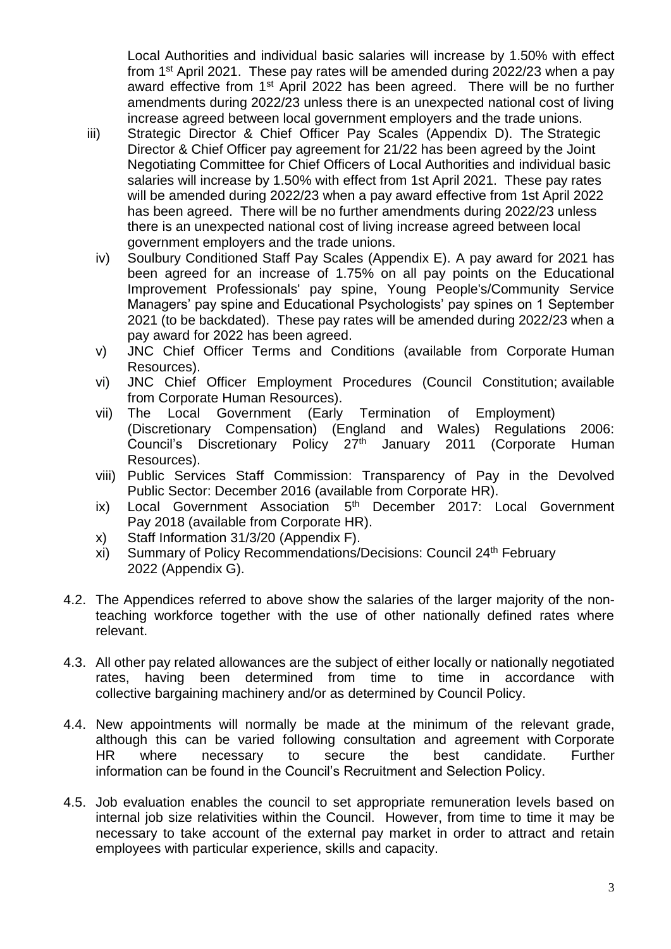Local Authorities and individual basic salaries will increase by 1.50% with effect from 1st April 2021. These pay rates will be amended during 2022/23 when a pay award effective from 1<sup>st</sup> April 2022 has been agreed. There will be no further amendments during 2022/23 unless there is an unexpected national cost of living increase agreed between local government employers and the trade unions.

- iii) Strategic Director & Chief Officer Pay Scales (Appendix D). The Strategic Director & Chief Officer pay agreement for 21/22 has been agreed by the Joint Negotiating Committee for Chief Officers of Local Authorities and individual basic salaries will increase by 1.50% with effect from 1st April 2021. These pay rates will be amended during 2022/23 when a pay award effective from 1st April 2022 has been agreed. There will be no further amendments during 2022/23 unless there is an unexpected national cost of living increase agreed between local government employers and the trade unions.
	- iv) Soulbury Conditioned Staff Pay Scales (Appendix E). A pay award for 2021 has been agreed for an increase of 1.75% on all pay points on the Educational Improvement Professionals' pay spine, Young People's/Community Service Managers' pay spine and Educational Psychologists' pay spines on 1 September 2021 (to be backdated). These pay rates will be amended during 2022/23 when a pay award for 2022 has been agreed.
	- v) JNC Chief Officer Terms and Conditions (available from Corporate Human Resources).
	- vi) JNC Chief Officer Employment Procedures (Council Constitution; available from Corporate Human Resources).
	- vii) The Local Government (Early Termination of Employment) (Discretionary Compensation) (England and Wales) Regulations 2006: Council's Discretionary Policy 27<sup>th</sup> January 2011 (Corporate Human Resources).
	- viii) Public Services Staff Commission: Transparency of Pay in the Devolved Public Sector: December 2016 (available from Corporate HR).
	- ix) Local Government Association 5<sup>th</sup> December 2017: Local Government Pay 2018 (available from Corporate HR).
	- x) Staff Information 31/3/20 (Appendix F).
	- xi) Summary of Policy Recommendations/Decisions: Council 24th February 2022 (Appendix G).
- 4.2. The Appendices referred to above show the salaries of the larger majority of the nonteaching workforce together with the use of other nationally defined rates where relevant.
- 4.3. All other pay related allowances are the subject of either locally or nationally negotiated rates, having been determined from time to time in accordance with collective bargaining machinery and/or as determined by Council Policy.
- 4.4. New appointments will normally be made at the minimum of the relevant grade, although this can be varied following consultation and agreement with Corporate HR where necessary to secure the best candidate. Further information can be found in the Council's Recruitment and Selection Policy.
- 4.5. Job evaluation enables the council to set appropriate remuneration levels based on internal job size relativities within the Council. However, from time to time it may be necessary to take account of the external pay market in order to attract and retain employees with particular experience, skills and capacity.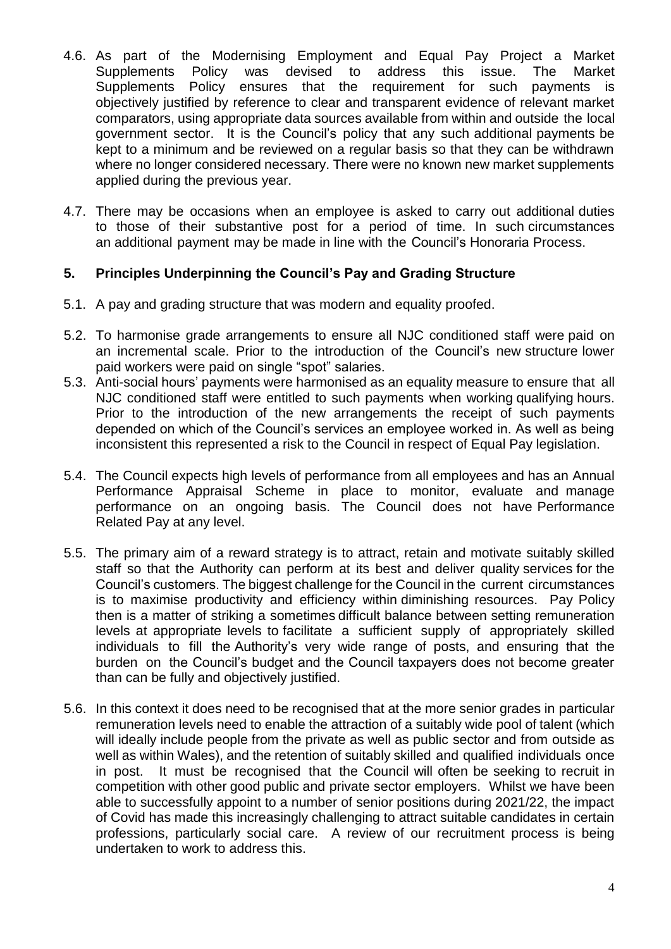- 4.6. As part of the Modernising Employment and Equal Pay Project a Market Supplements Policy was devised to address this issue. The Market Supplements Policy ensures that the requirement for such payments is objectively justified by reference to clear and transparent evidence of relevant market comparators, using appropriate data sources available from within and outside the local government sector. It is the Council's policy that any such additional payments be kept to a minimum and be reviewed on a regular basis so that they can be withdrawn where no longer considered necessary. There were no known new market supplements applied during the previous year.
- 4.7. There may be occasions when an employee is asked to carry out additional duties to those of their substantive post for a period of time. In such circumstances an additional payment may be made in line with the Council's Honoraria Process.

# **5. Principles Underpinning the Council's Pay and Grading Structure**

- 5.1. A pay and grading structure that was modern and equality proofed.
- 5.2. To harmonise grade arrangements to ensure all NJC conditioned staff were paid on an incremental scale. Prior to the introduction of the Council's new structure lower paid workers were paid on single "spot" salaries.
- 5.3. Anti-social hours' payments were harmonised as an equality measure to ensure that all NJC conditioned staff were entitled to such payments when working qualifying hours. Prior to the introduction of the new arrangements the receipt of such payments depended on which of the Council's services an employee worked in. As well as being inconsistent this represented a risk to the Council in respect of Equal Pay legislation.
- 5.4. The Council expects high levels of performance from all employees and has an Annual Performance Appraisal Scheme in place to monitor, evaluate and manage performance on an ongoing basis. The Council does not have Performance Related Pay at any level.
- 5.5. The primary aim of a reward strategy is to attract, retain and motivate suitably skilled staff so that the Authority can perform at its best and deliver quality services for the Council's customers. The biggest challenge for the Council in the current circumstances is to maximise productivity and efficiency within diminishing resources. Pay Policy then is a matter of striking a sometimes difficult balance between setting remuneration levels at appropriate levels to facilitate a sufficient supply of appropriately skilled individuals to fill the Authority's very wide range of posts, and ensuring that the burden on the Council's budget and the Council taxpayers does not become greater than can be fully and objectively justified.
- 5.6. In this context it does need to be recognised that at the more senior grades in particular remuneration levels need to enable the attraction of a suitably wide pool of talent (which will ideally include people from the private as well as public sector and from outside as well as within Wales), and the retention of suitably skilled and qualified individuals once in post. It must be recognised that the Council will often be seeking to recruit in competition with other good public and private sector employers. Whilst we have been able to successfully appoint to a number of senior positions during 2021/22, the impact of Covid has made this increasingly challenging to attract suitable candidates in certain professions, particularly social care. A review of our recruitment process is being undertaken to work to address this.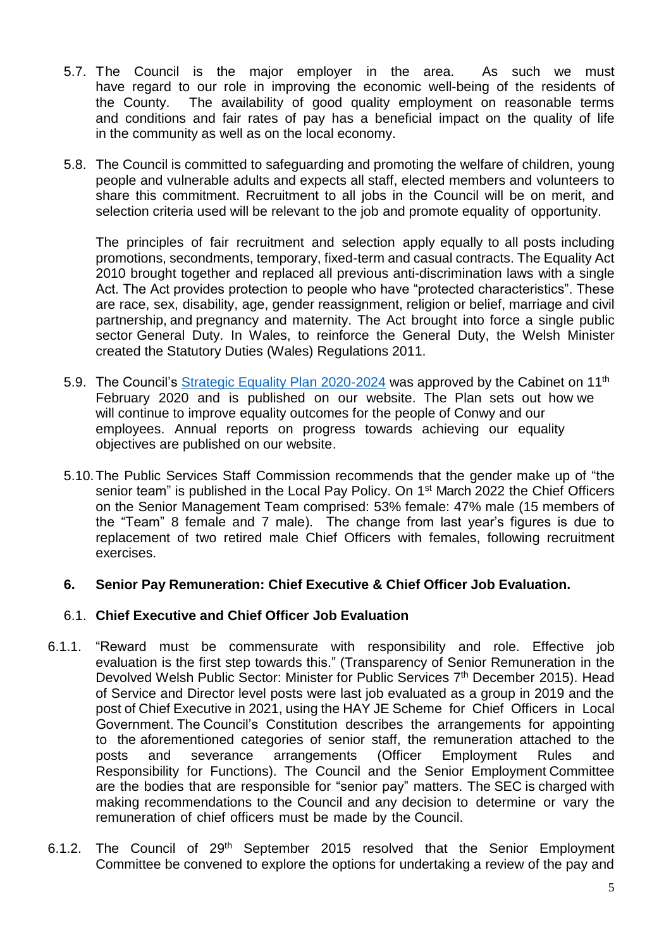- 5.7. The Council is the major employer in the area. As such we must have regard to our role in improving the economic well-being of the residents of the County. The availability of good quality employment on reasonable terms and conditions and fair rates of pay has a beneficial impact on the quality of life in the community as well as on the local economy.
- 5.8. The Council is committed to safeguarding and promoting the welfare of children, young people and vulnerable adults and expects all staff, elected members and volunteers to share this commitment. Recruitment to all jobs in the Council will be on merit, and selection criteria used will be relevant to the job and promote equality of opportunity.

The principles of fair recruitment and selection apply equally to all posts including promotions, secondments, temporary, fixed-term and casual contracts. The Equality Act 2010 brought together and replaced all previous anti-discrimination laws with a single Act. The Act provides protection to people who have "protected characteristics". These are race, sex, disability, age, gender reassignment, religion or belief, marriage and civil partnership, and pregnancy and maternity. The Act brought into force a single public sector General Duty. In Wales, to reinforce the General Duty, the Welsh Minister created the Statutory Duties (Wales) Regulations 2011.

- 5.9. The Council's [Strategic Equality Plan 2020-2024](https://www.conwy.gov.uk/en/Council/Strategies-Plans-and-Policies/Equality-and-diversity/Strategic-Equality-Plan-2020-2024.aspx) was approved by the Cabinet on 11<sup>th</sup> February 2020 and is published on our website. The Plan sets out how we will continue to improve equality outcomes for the people of Conwy and our employees. Annual reports on progress towards achieving our equality objectives are published on our website.
- 5.10.The Public Services Staff Commission recommends that the gender make up of "the senior team" is published in the Local Pay Policy. On 1<sup>st</sup> March 2022 the Chief Officers on the Senior Management Team comprised: 53% female: 47% male (15 members of the "Team" 8 female and 7 male). The change from last year's figures is due to replacement of two retired male Chief Officers with females, following recruitment exercises.

## **6. Senior Pay Remuneration: Chief Executive & Chief Officer Job Evaluation.**

# 6.1. **Chief Executive and Chief Officer Job Evaluation**

- 6.1.1. "Reward must be commensurate with responsibility and role. Effective job evaluation is the first step towards this." (Transparency of Senior Remuneration in the Devolved Welsh Public Sector: Minister for Public Services 7<sup>th</sup> December 2015). Head of Service and Director level posts were last job evaluated as a group in 2019 and the post of Chief Executive in 2021, using the HAY JE Scheme for Chief Officers in Local Government. The Council's Constitution describes the arrangements for appointing to the aforementioned categories of senior staff, the remuneration attached to the posts and severance arrangements (Officer Employment Rules and Responsibility for Functions). The Council and the Senior Employment Committee are the bodies that are responsible for "senior pay" matters. The SEC is charged with making recommendations to the Council and any decision to determine or vary the remuneration of chief officers must be made by the Council.
- 6.1.2. The Council of 29<sup>th</sup> September 2015 resolved that the Senior Employment Committee be convened to explore the options for undertaking a review of the pay and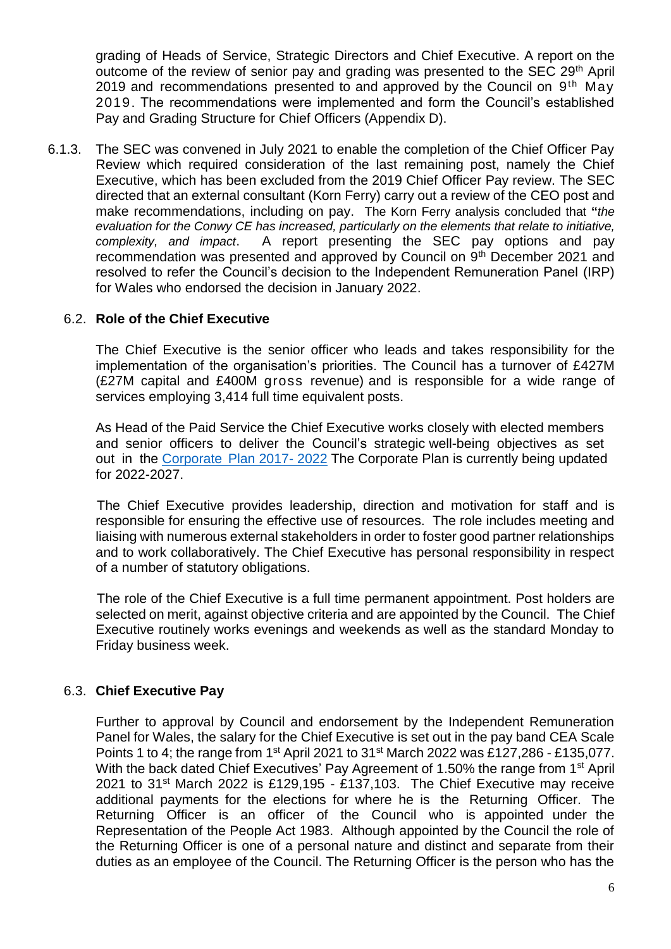grading of Heads of Service, Strategic Directors and Chief Executive. A report on the outcome of the review of senior pay and grading was presented to the SEC 29<sup>th</sup> April 2019 and recommendations presented to and approved by the Council on  $9<sup>th</sup>$  May 2019. The recommendations were implemented and form the Council's established Pay and Grading Structure for Chief Officers (Appendix D).

6.1.3. The SEC was convened in July 2021 to enable the completion of the Chief Officer Pay Review which required consideration of the last remaining post, namely the Chief Executive, which has been excluded from the 2019 Chief Officer Pay review. The SEC directed that an external consultant (Korn Ferry) carry out a review of the CEO post and make recommendations, including on pay. The Korn Ferry analysis concluded that **"***the evaluation for the Conwy CE has increased, particularly on the elements that relate to initiative, complexity, and impact*. A report presenting the SEC pay options and pay recommendation was presented and approved by Council on 9<sup>th</sup> December 2021 and resolved to refer the Council's decision to the Independent Remuneration Panel (IRP) for Wales who endorsed the decision in January 2022.

## 6.2. **Role of the Chief Executive**

The Chief Executive is the senior officer who leads and takes responsibility for the implementation of the organisation's priorities. The Council has a turnover of £427M (£27M capital and £400M gross revenue) and is responsible for a wide range of services employing 3,414 full time equivalent posts.

As Head of the Paid Service the Chief Executive works closely with elected members and senior officers to deliver the Council's strategic well-being objectives as set out in the [Corporate](https://www.conwy.gov.uk/en/Council/Strategies-Plans-and-Policies/Corporate-Plan/Corporate-Plan-2017-2022.aspx) Plan 2017- 2022 The Corporate Plan is currently being updated for 2022-2027.

The Chief Executive provides leadership, direction and motivation for staff and is responsible for ensuring the effective use of resources. The role includes meeting and liaising with numerous external stakeholders in order to foster good partner relationships and to work collaboratively. The Chief Executive has personal responsibility in respect of a number of statutory obligations.

The role of the Chief Executive is a full time permanent appointment. Post holders are selected on merit, against objective criteria and are appointed by the Council. The Chief Executive routinely works evenings and weekends as well as the standard Monday to Friday business week.

## 6.3. **Chief Executive Pay**

Further to approval by Council and endorsement by the Independent Remuneration Panel for Wales, the salary for the Chief Executive is set out in the pay band CEA Scale Points 1 to 4; the range from 1<sup>st</sup> April 2021 to 31<sup>st</sup> March 2022 was £127,286 - £135,077. With the back dated Chief Executives' Pay Agreement of 1.50% the range from 1<sup>st</sup> April 2021 to 31st March 2022 is £129,195 - £137,103. The Chief Executive may receive additional payments for the elections for where he is the Returning Officer. The Returning Officer is an officer of the Council who is appointed under the Representation of the People Act 1983. Although appointed by the Council the role of the Returning Officer is one of a personal nature and distinct and separate from their duties as an employee of the Council. The Returning Officer is the person who has the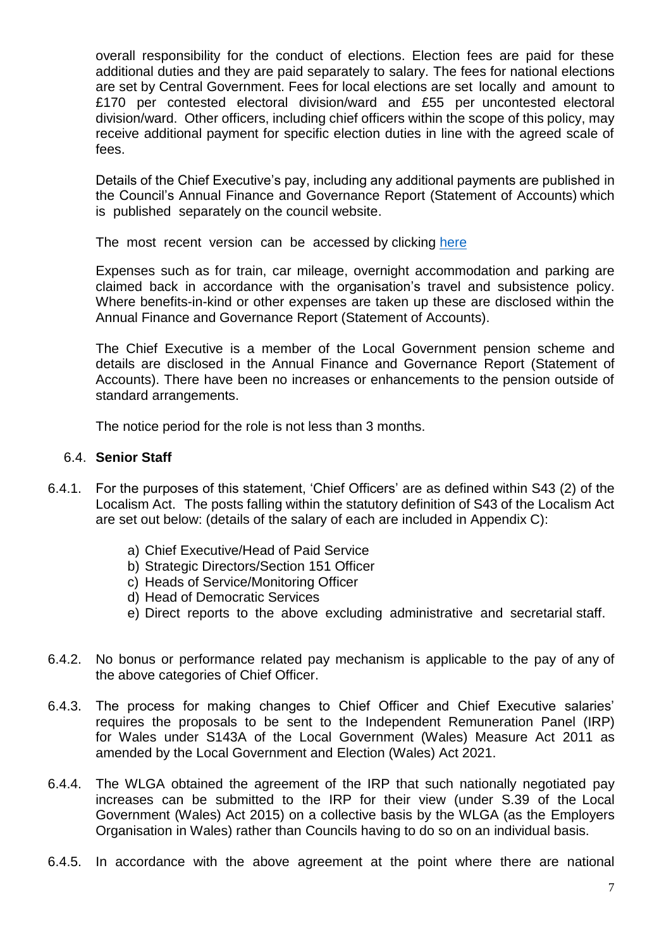overall responsibility for the conduct of elections. Election fees are paid for these additional duties and they are paid separately to salary. The fees for national elections are set by Central Government. Fees for local elections are set locally and amount to £170 per contested electoral division/ward and £55 per uncontested electoral division/ward. Other officers, including chief officers within the scope of this policy, may receive additional payment for specific election duties in line with the agreed scale of fees.

Details of the Chief Executive's pay, including any additional payments are published in the Council's Annual Finance and Governance Report (Statement of Accounts) which is published separately on the council website.

The most recent version can be accessed by clicking [here](https://www.conwy.gov.uk/en/Council/Accountabilty/Budget-information/assets/documents-budgets/documents-statements/Annual-Finance-and-Governance-Report-202021.pdf)

Expenses such as for train, car mileage, overnight accommodation and parking are claimed back in accordance with the organisation's travel and subsistence policy. Where benefits-in-kind or other expenses are taken up these are disclosed within the Annual Finance and Governance Report (Statement of Accounts).

The Chief Executive is a member of the Local Government pension scheme and details are disclosed in the Annual Finance and Governance Report (Statement of Accounts). There have been no increases or enhancements to the pension outside of standard arrangements.

The notice period for the role is not less than 3 months.

## 6.4. **Senior Staff**

- 6.4.1. For the purposes of this statement, 'Chief Officers' are as defined within S43 (2) of the Localism Act. The posts falling within the statutory definition of S43 of the Localism Act are set out below: (details of the salary of each are included in Appendix C):
	- a) Chief Executive/Head of Paid Service
	- b) Strategic Directors/Section 151 Officer
	- c) Heads of Service/Monitoring Officer
	- d) Head of Democratic Services
	- e) Direct reports to the above excluding administrative and secretarial staff.
- 6.4.2. No bonus or performance related pay mechanism is applicable to the pay of any of the above categories of Chief Officer.
- 6.4.3. The process for making changes to Chief Officer and Chief Executive salaries' requires the proposals to be sent to the Independent Remuneration Panel (IRP) for Wales under S143A of the Local Government (Wales) Measure Act [2011](http://2011.6.5.5/) [as](http://2011.6.5.5/)  [amended by the Local Government and](http://2011.6.5.5/) Election (Wales) Act 2021.
- 6.4.4. The WLGA obtained the agreement of the IRP that such nationally negotiated pay increases can be submitted to the IRP for their view (under S.39 of the Local Government (Wales) Act 2015) on a collective basis by the WLGA (as the Employers Organisation in Wales) rather than Councils having to do so on an individual basis.
- 6.4.5. In accordance with the above agreement at the point where there are national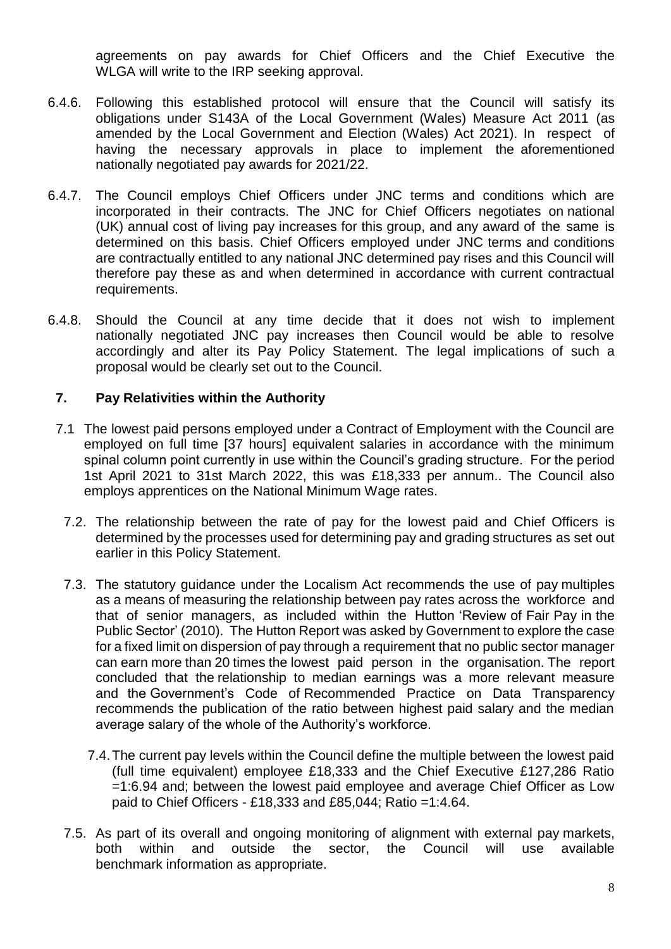agreements on pay awards for Chief Officers and the Chief Executive the WLGA will write to the IRP seeking approval.

- 6.4.6. Following this established protocol will ensure that the Council will satisfy its obligations under S143A of the Local Government (Wales) Measure Act 2011 [\(as](http://2011.6.5.5/)  [amended by the Local Government and Election \(Wales\) Act 2021\).](http://2011.6.5.5/) In respect of having the necessary approvals in place to implement the aforementioned nationally negotiated pay awards for 2021/22.
- 6.4.7. The Council employs Chief Officers under JNC terms and conditions which are incorporated in their contracts. The JNC for Chief Officers negotiates on national (UK) annual cost of living pay increases for this group, and any award of the same is determined on this basis. Chief Officers employed under JNC terms and conditions are contractually entitled to any national JNC determined pay rises and this Council will therefore pay these as and when determined in accordance with current contractual requirements.
- 6.4.8. Should the Council at any time decide that it does not wish to implement nationally negotiated JNC pay increases then Council would be able to resolve accordingly and alter its Pay Policy Statement. The legal implications of such a proposal would be clearly set out to the Council.

# **7. Pay Relativities within the Authority**

- 7.1 The lowest paid persons employed under a Contract of Employment with the Council are employed on full time [37 hours] equivalent salaries in accordance with the minimum spinal column point currently in use within the Council's grading structure. For the period 1st April 2021 to 31st March 2022, this was £18,333 per annum.. The Council also employs apprentices on the National Minimum Wage rates.
	- 7.2. The relationship between the rate of pay for the lowest paid and Chief Officers is determined by the processes used for determining pay and grading structures as set out earlier in this Policy Statement.
	- 7.3. The statutory guidance under the Localism Act recommends the use of pay multiples as a means of measuring the relationship between pay rates across the workforce and that of senior managers, as included within the Hutton 'Review of Fair Pay in the Public Sector' (2010). The Hutton Report was asked by Government to explore the case for a fixed limit on dispersion of pay through a requirement that no public sector manager can earn more than 20 times the lowest paid person in the organisation. The report concluded that the relationship to median earnings was a more relevant measure and the Government's Code of Recommended Practice on Data Transparency recommends the publication of the ratio between highest paid salary and the median average salary of the whole of the Authority's workforce.
		- 7.4.The current pay levels within the Council define the multiple between the lowest paid (full time equivalent) employee £18,333 and the Chief Executive £127,286 Ratio =1:6.94 and; between the lowest paid employee and average Chief Officer as Low paid to Chief Officers - £18,333 and £85,044; Ratio =1:4.64.
	- 7.5. As part of its overall and ongoing monitoring of alignment with external pay markets, both within and outside the sector, the Council will use available benchmark information as appropriate.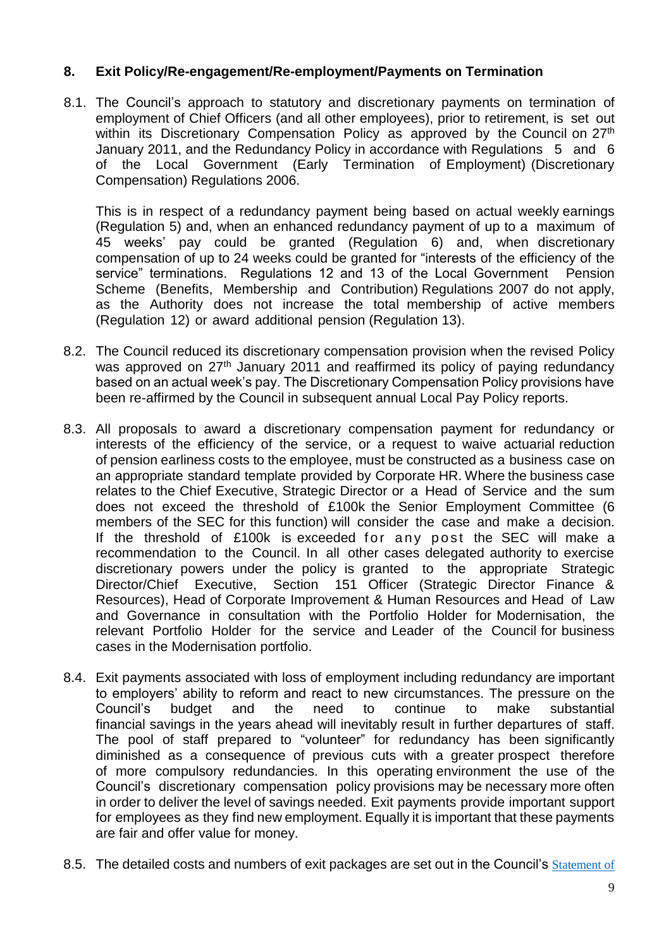# **8. Exit Policy/Re-engagement/Re-employment/Payments on Termination**

8.1. The Council's approach to statutory and discretionary payments on termination of employment of Chief Officers (and all other employees), prior to retirement, is set out within its Discretionary Compensation Policy as approved by the Council on 27<sup>th</sup> January 2011, and the Redundancy Policy in accordance with Regulations 5 and 6 of the Local Government (Early Termination of Employment) (Discretionary Compensation) Regulations 2006.

This is in respect of a redundancy payment being based on actual weekly earnings (Regulation 5) and, when an enhanced redundancy payment of up to a maximum of 45 weeks' pay could be granted (Regulation 6) and, when discretionary compensation of up to 24 weeks could be granted for "interests of the efficiency of the service" terminations. Regulations 12 and 13 of the Local Government Pension Scheme (Benefits, Membership and Contribution) Regulations 2007 do not apply, as the Authority does not increase the total membership of active members (Regulation 12) or award additional pension (Regulation 13).

- 8.2. The Council reduced its discretionary compensation provision when the revised Policy was approved on 27<sup>th</sup> January 2011 and reaffirmed its policy of paying redundancy based on an actual week's pay. The Discretionary Compensation Policy provisions have been re-affirmed by the Council in subsequent annual Local Pay Policy reports.
- 8.3. All proposals to award a discretionary compensation payment for redundancy or interests of the efficiency of the service, or a request to waive actuarial reduction of pension earliness costs to the employee, must be constructed as a business case on an appropriate standard template provided by Corporate HR. Where the business case relates to the Chief Executive, Strategic Director or a Head of Service and the sum does not exceed the threshold of £100k the Senior Employment Committee (6 members of the SEC for this function) will consider the case and make a decision. If the threshold of £100k is exceeded for any post the SEC will make a recommendation to the Council. In all other cases delegated authority to exercise discretionary powers under the policy is granted to the appropriate Strategic Director/Chief Executive, Section 151 Officer (Strategic Director Finance & Resources), Head of Corporate Improvement & Human Resources and Head of Law and Governance in consultation with the Portfolio Holder for Modernisation, the relevant Portfolio Holder for the service and Leader of the Council for business cases in the Modernisation portfolio.
- 8.4. Exit payments associated with loss of employment including redundancy are important to employers' ability to reform and react to new circumstances. The pressure on the Council's budget and the need to continue to make substantial financial savings in the years ahead will inevitably result in further departures of staff. The pool of staff prepared to "volunteer" for redundancy has been significantly diminished as a consequence of previous cuts with a greater prospect therefore of more compulsory redundancies. In this operating environment the use of the Council's discretionary compensation policy provisions may be necessary more often in order to deliver the level of savings needed. Exit payments provide important support for employees as they find new employment. Equally it is important that these payments are fair and offer value for money.
- 8.5. The detailed costs and numbers of exit packages are set out in the Council's Statement of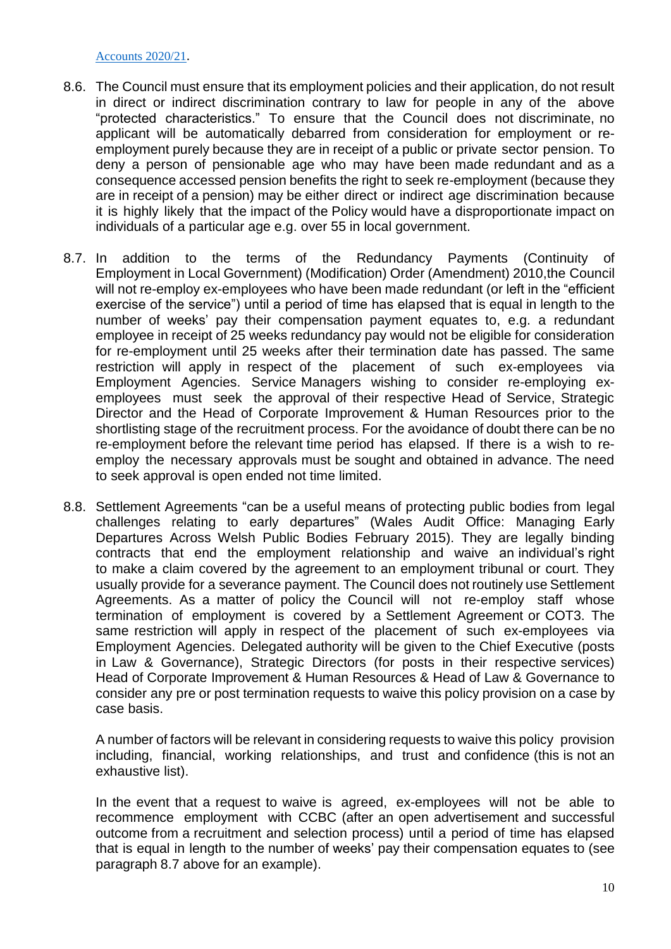#### [Accounts 2020/21](https://www.conwy.gov.uk/en/Council/Accountabilty/Budget-information/assets/documents-budgets/documents-statements/Annual-Finance-and-Governance-Report-202021.pdf).

- 8.6. The Council must ensure that its employment policies and their application, do not result in direct or indirect discrimination contrary to law for people in any of the above "protected characteristics." To ensure that the Council does not discriminate, no applicant will be automatically debarred from consideration for employment or reemployment purely because they are in receipt of a public or private sector pension. To deny a person of pensionable age who may have been made redundant and as a consequence accessed pension benefits the right to seek re-employment (because they are in receipt of a pension) may be either direct or indirect age discrimination because it is highly likely that the impact of the Policy would have a disproportionate impact on individuals of a particular age e.g. over 55 in local government.
- 8.7. In addition to the terms of the Redundancy Payments (Continuity of Employment in Local Government) (Modification) Order (Amendment) 2010,the Council will not re-employ ex-employees who have been made redundant (or left in the "efficient exercise of the service") until a period of time has elapsed that is equal in length to the number of weeks' pay their compensation payment equates to, e.g. a redundant employee in receipt of 25 weeks redundancy pay would not be eligible for consideration for re-employment until 25 weeks after their termination date has passed. The same restriction will apply in respect of the placement of such ex-employees via Employment Agencies. Service Managers wishing to consider re-employing exemployees must seek the approval of their respective Head of Service, Strategic Director and the Head of Corporate Improvement & Human Resources prior to the shortlisting stage of the recruitment process. For the avoidance of doubt there can be no re-employment before the relevant time period has elapsed. If there is a wish to reemploy the necessary approvals must be sought and obtained in advance. The need to seek approval is open ended not time limited.
- 8.8. Settlement Agreements "can be a useful means of protecting public bodies from legal challenges relating to early departures" (Wales Audit Office: Managing Early Departures Across Welsh Public Bodies February 2015). They are legally binding contracts that end the employment relationship and waive an individual's right to make a claim covered by the agreement to an employment tribunal or court. They usually provide for a severance payment. The Council does not routinely use Settlement Agreements. As a matter of policy the Council will not re-employ staff whose termination of employment is covered by a Settlement Agreement or COT3. The same restriction will apply in respect of the placement of such ex-employees via Employment Agencies. Delegated authority will be given to the Chief Executive (posts in Law & Governance), Strategic Directors (for posts in their respective services) Head of Corporate Improvement & Human Resources & Head of Law & Governance to consider any pre or post termination requests to waive this policy provision on a case by case basis.

A number of factors will be relevant in considering requests to waive this policy provision including, financial, working relationships, and trust and confidence (this is not an exhaustive list).

In the event that a request to waive is agreed, ex-employees will not be able to recommence employment with CCBC (after an open advertisement and successful outcome from a recruitment and selection process) until a period of time has elapsed that is equal in length to the number of weeks' pay their compensation equates to (see paragraph 8.7 above for an example).